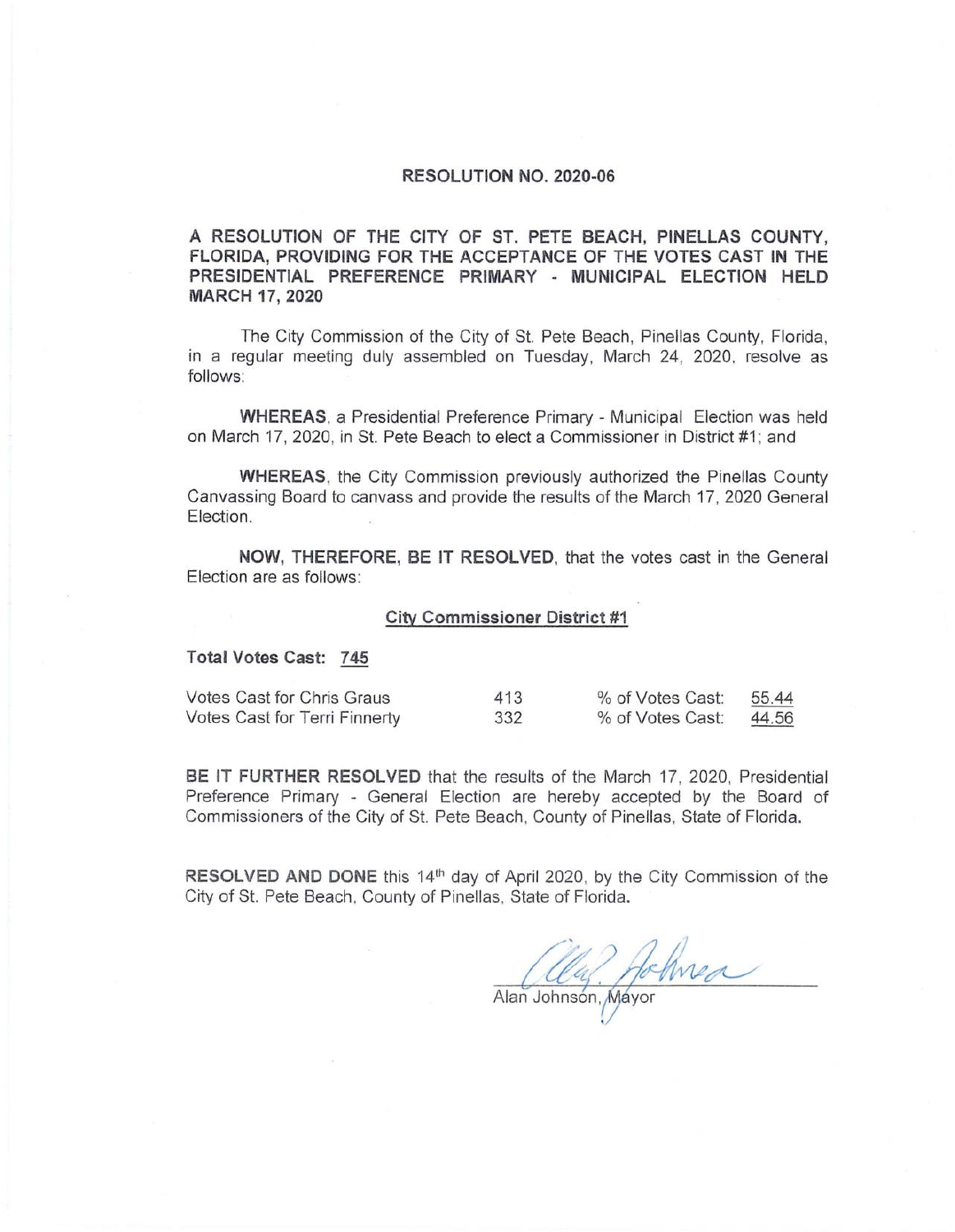## **RESOLUTION NO. 2020-06**

**A RESOLUTION OF THE CITY OF ST. PETE BEACH, PINELLAS COUNTY, FLORIDA, PROVIDING FOR THE ACCEPTANCE OF THE VOTES CAST IN THE PRESIDENTIAL PREFERENCE PRIMARY - MUNICIPAL ELECTION HELD MARCH 17, 2020** 

The City Commission of the City of St. Pete Beach, Pinellas County, Florida, in a regular meeting duly assembled on Tuesday, March 24, 2020. resolve as follows :

**WHEREAS,** a Presidential Preference Primary - Municipal Election was held on March '17, 2020, in St. Pete Beach to elect a Commissioner in District #1; and

**WHEREAS,** the City Commission previously authorized the Pinellas County Canvassing Board to canvass and provide the results of the March 17, 2020 General Election.

**NOW, THEREFORE, BE IT RESOLVED,** that the votes cast in the General Election are as follows:

## **City Commissioner District #1**

## **Total Votes Cast: 745**

| Votes Cast for Chris Graus    | 413 | % of Votes Cast: | 55.44 |
|-------------------------------|-----|------------------|-------|
| Votes Cast for Terri Finnerty | 332 | % of Votes Cast: | 44.56 |

**BE IT FURTHER RESOLVED** that the results of the March 17, 2020, Presidential Preference Primary - General Election are hereby accepted by the Board of Commissioners of the City of St. Pete Beach, County of Pinellas, State of Florida.

**RESOLVED AND DONE** this 14<sup>th</sup> day of April 2020, by the City Commission of the City of St. Pete Beach, County of Pinellas, State of Florida.

Alle Johnson, Mayor